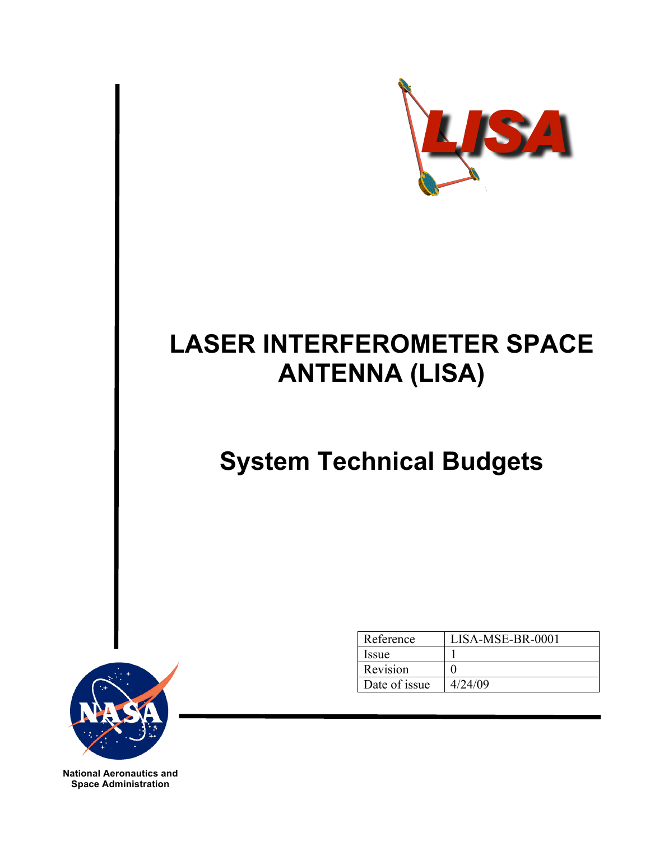

# **LASER INTERFEROMETER SPACE ANTENNA (LISA)**

# **System Technical Budgets**



| Reference     | LISA-MSE-BR-0001 |
|---------------|------------------|
| Issue         |                  |
| Revision      |                  |
| Date of issue | 4/24/09          |

**National Aeronautics and Space Administration**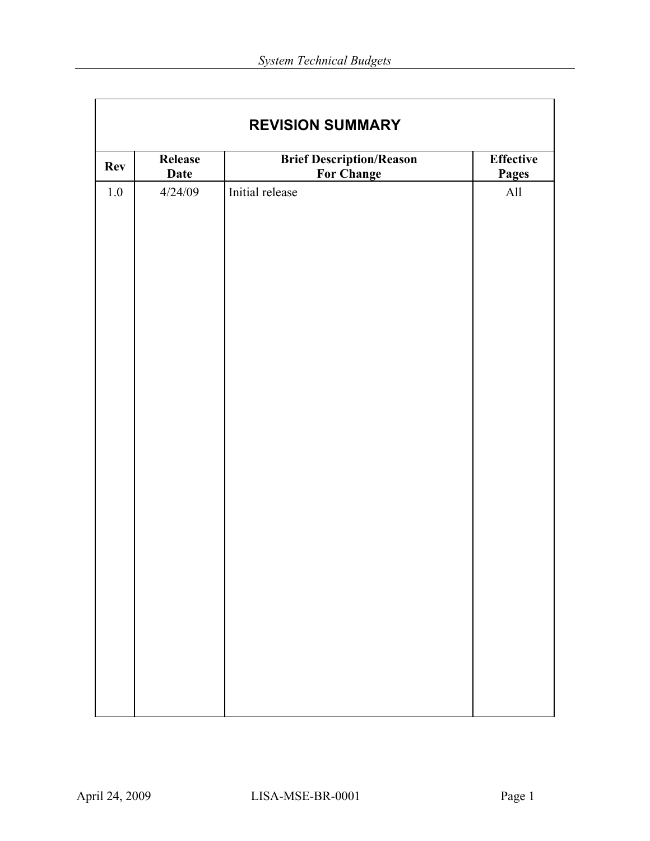| <b>Brief Description/Reason</b><br><b>Effective</b><br>Release<br><b>Rev</b><br><b>For Change</b><br><b>Date</b><br><b>Pages</b> |         |                 |     |  |  |  |  |  |
|----------------------------------------------------------------------------------------------------------------------------------|---------|-----------------|-----|--|--|--|--|--|
| $1.0\,$                                                                                                                          | 4/24/09 | Initial release | All |  |  |  |  |  |
|                                                                                                                                  |         |                 |     |  |  |  |  |  |
|                                                                                                                                  |         |                 |     |  |  |  |  |  |
|                                                                                                                                  |         |                 |     |  |  |  |  |  |
|                                                                                                                                  |         |                 |     |  |  |  |  |  |
|                                                                                                                                  |         |                 |     |  |  |  |  |  |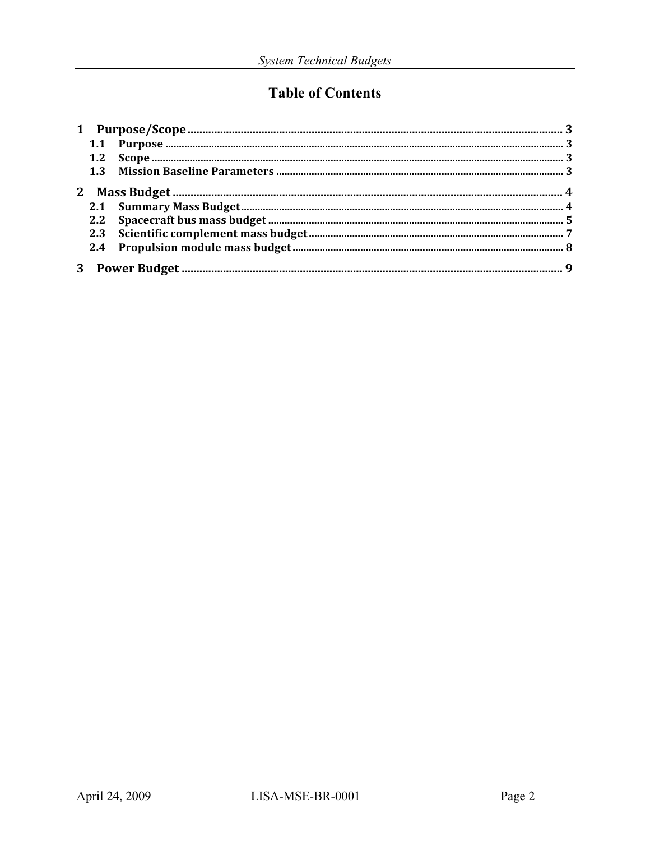# **Table of Contents**

| 1.1 |  |
|-----|--|
| 1.2 |  |
|     |  |
|     |  |
|     |  |
| 2.2 |  |
| 2.3 |  |
| 2.4 |  |
|     |  |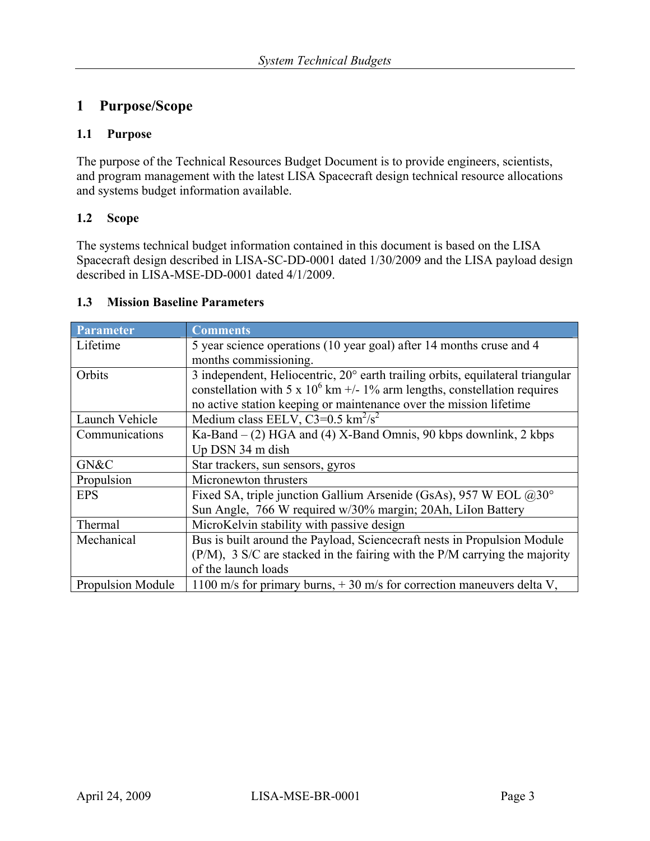### **1 Purpose/Scope**

#### **1.1 Purpose**

The purpose of the Technical Resources Budget Document is to provide engineers, scientists, and program management with the latest LISA Spacecraft design technical resource allocations and systems budget information available.

#### **1.2 Scope**

The systems technical budget information contained in this document is based on the LISA Spacecraft design described in LISA-SC-DD-0001 dated 1/30/2009 and the LISA payload design described in LISA-MSE-DD-0001 dated 4/1/2009.

#### **1.3 Mission Baseline Parameters**

| Parameter                | <b>Comments</b>                                                                |  |  |  |
|--------------------------|--------------------------------------------------------------------------------|--|--|--|
| Lifetime                 | 5 year science operations (10 year goal) after 14 months cruse and 4           |  |  |  |
|                          | months commissioning.                                                          |  |  |  |
| Orbits                   | 3 independent, Heliocentric, 20° earth trailing orbits, equilateral triangular |  |  |  |
|                          | constellation with 5 x $10^6$ km +/- 1% arm lengths, constellation requires    |  |  |  |
|                          | no active station keeping or maintenance over the mission lifetime             |  |  |  |
| Launch Vehicle           | Medium class EELV, $C3=0.5 \text{ km}^2/\text{s}^2$                            |  |  |  |
| Communications           | Ka-Band $-$ (2) HGA and (4) X-Band Omnis, 90 kbps downlink, 2 kbps             |  |  |  |
|                          | Up DSN 34 m dish                                                               |  |  |  |
| GN&C                     | Star trackers, sun sensors, gyros                                              |  |  |  |
| Propulsion               | Micronewton thrusters                                                          |  |  |  |
| <b>EPS</b>               | Fixed SA, triple junction Gallium Arsenide (GsAs), 957 W EOL @30°              |  |  |  |
|                          | Sun Angle, 766 W required w/30% margin; 20Ah, LiIon Battery                    |  |  |  |
| Thermal                  | MicroKelvin stability with passive design                                      |  |  |  |
| Mechanical               | Bus is built around the Payload, Sciencecraft nests in Propulsion Module       |  |  |  |
|                          | (P/M), 3 S/C are stacked in the fairing with the P/M carrying the majority     |  |  |  |
|                          | of the launch loads                                                            |  |  |  |
| <b>Propulsion Module</b> | 1100 m/s for primary burns, $+30$ m/s for correction maneuvers delta V,        |  |  |  |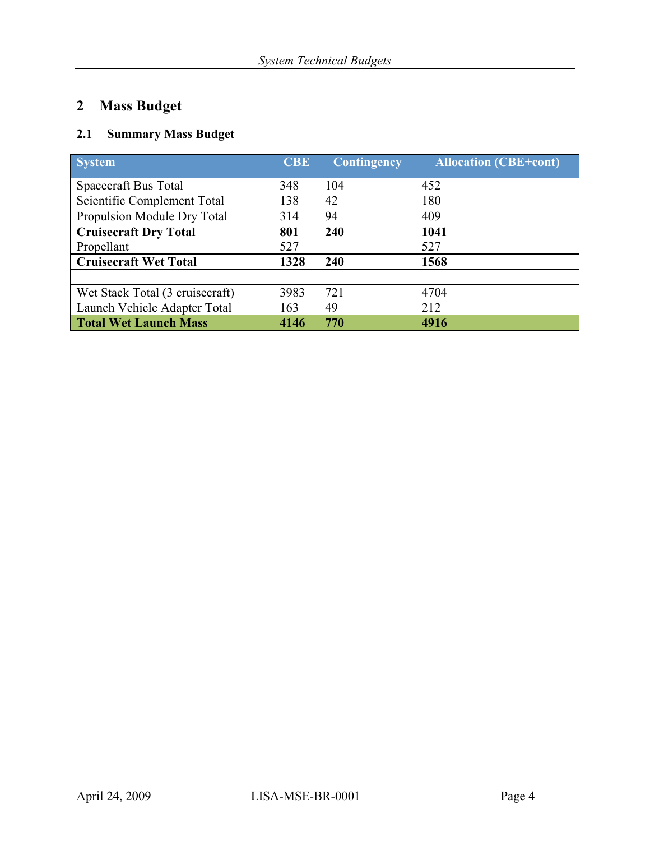# **2 Mass Budget**

### **2.1 Summary Mass Budget**

| <b>System</b>                   | <b>CBE</b> | <b>Contingency</b> | <b>Allocation (CBE+cont)</b> |
|---------------------------------|------------|--------------------|------------------------------|
| Spacecraft Bus Total            | 348        | 104                | 452                          |
| Scientific Complement Total     | 138        | 42                 | 180                          |
| Propulsion Module Dry Total     | 314        | 94                 | 409                          |
| <b>Cruisecraft Dry Total</b>    | 801        | 240                | 1041                         |
| Propellant                      | 527        |                    | 527                          |
| <b>Cruisecraft Wet Total</b>    | 1328       | 240                | 1568                         |
|                                 |            |                    |                              |
| Wet Stack Total (3 cruisecraft) | 3983       | 721                | 4704                         |
| Launch Vehicle Adapter Total    | 163        | 49                 | 212                          |
| <b>Total Wet Launch Mass</b>    | 4146       | 770                | 4916                         |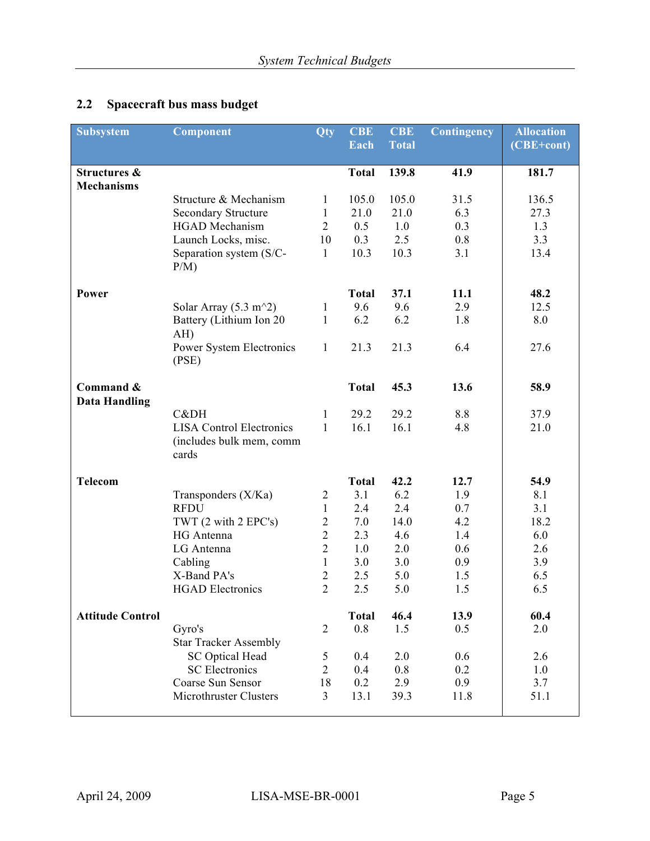# **2.2 Spacecraft bus mass budget**

| <b>Subsystem</b>                             | <b>Component</b>                  | Qty                              | <b>CBE</b>   | <b>CBE</b>   | Contingency | <b>Allocation</b> |
|----------------------------------------------|-----------------------------------|----------------------------------|--------------|--------------|-------------|-------------------|
|                                              |                                   |                                  | Each         | <b>Total</b> |             | (CBE+cont)        |
| <b>Structures &amp;</b><br><b>Mechanisms</b> |                                   |                                  | <b>Total</b> | 139.8        | 41.9        | 181.7             |
|                                              | Structure & Mechanism             | 1                                | 105.0        | 105.0        | 31.5        | 136.5             |
|                                              | <b>Secondary Structure</b>        | 1                                | 21.0         | 21.0         | 6.3         | 27.3              |
|                                              | <b>HGAD</b> Mechanism             | $\overline{2}$                   | 0.5          | 1.0          | 0.3         | 1.3               |
|                                              | Launch Locks, misc.               | 10                               | 0.3          | 2.5          | 0.8         | 3.3               |
|                                              | Separation system (S/C-<br>P/M)   | $\mathbf{1}$                     | 10.3         | 10.3         | 3.1         | 13.4              |
| Power                                        |                                   |                                  | <b>Total</b> | 37.1         | 11.1        | 48.2              |
|                                              | Solar Array $(5.3 \text{ m}^2)$   | 1                                | 9.6          | 9.6          | 2.9         | 12.5              |
|                                              | Battery (Lithium Ion 20<br>AH)    | $\mathbf{1}$                     | 6.2          | 6.2          | 1.8         | 8.0               |
|                                              | Power System Electronics<br>(PSE) | $\mathbf{1}$                     | 21.3         | 21.3         | 6.4         | 27.6              |
| Command &<br><b>Data Handling</b>            |                                   |                                  | <b>Total</b> | 45.3         | 13.6        | 58.9              |
|                                              | C&DH                              | $\mathbf{1}$                     | 29.2         | 29.2         | 8.8         | 37.9              |
|                                              | <b>LISA Control Electronics</b>   | $\mathbf{1}$                     | 16.1         | 16.1         | 4.8         | 21.0              |
|                                              | (includes bulk mem, comm<br>cards |                                  |              |              |             |                   |
| <b>Telecom</b>                               |                                   |                                  | <b>Total</b> | 42.2         | 12.7        | 54.9              |
|                                              | Transponders (X/Ka)               | $\overline{2}$                   | 3.1          | 6.2          | 1.9         | 8.1               |
|                                              | <b>RFDU</b>                       | $\mathbf{1}$                     | 2.4          | 2.4          | 0.7         | 3.1               |
|                                              | TWT (2 with 2 EPC's)              | $\sqrt{2}$                       | 7.0          | 14.0         | 4.2         | 18.2              |
|                                              | HG Antenna                        | $\overline{2}$                   | 2.3          | 4.6          | 1.4         | 6.0               |
|                                              | LG Antenna                        | $\overline{2}$                   | 1.0          | 2.0          | 0.6         | 2.6               |
|                                              | Cabling<br>X-Band PA's            | $\mathbf{1}$                     | 3.0          | 3.0          | 0.9         | 3.9               |
|                                              | <b>HGAD Electronics</b>           | $\overline{2}$<br>$\overline{2}$ | 2.5<br>2.5   | 5.0<br>5.0   | 1.5<br>1.5  | 6.5<br>6.5        |
|                                              |                                   |                                  |              |              |             |                   |
| <b>Attitude Control</b>                      |                                   |                                  | <b>Total</b> | 46.4         | 13.9        | 60.4              |
|                                              | Gyro's                            | $\overline{2}$                   | 0.8          | 1.5          | 0.5         | 2.0               |
|                                              | <b>Star Tracker Assembly</b>      |                                  |              |              |             |                   |
|                                              | <b>SC Optical Head</b>            | $\mathfrak{S}$                   | 0.4          | 2.0          | 0.6         | 2.6               |
|                                              | <b>SC</b> Electronics             | $\overline{2}$                   | 0.4          | 0.8          | 0.2         | 1.0               |
|                                              | Coarse Sun Sensor                 | 18                               | 0.2          | 2.9          | 0.9         | 3.7               |
|                                              | Microthruster Clusters            | $\overline{3}$                   | 13.1         | 39.3         | 11.8        | 51.1              |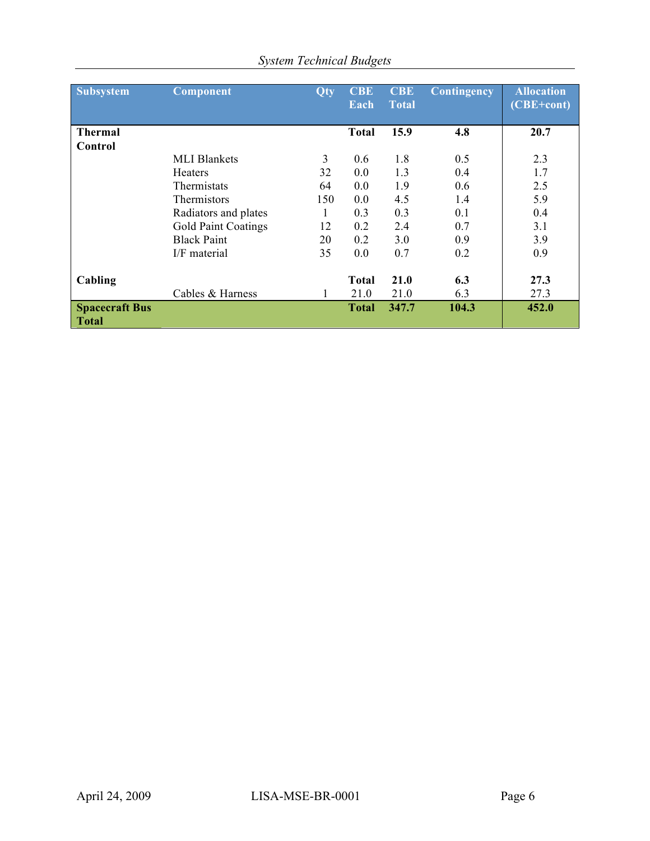| <b>Subsystem</b>                      | Component                  | <b>Qty</b> | <b>CBE</b><br>Each | <b>CBE</b><br><b>Total</b> | Contingency | <b>Allocation</b><br>$(CBE + cont)$ |
|---------------------------------------|----------------------------|------------|--------------------|----------------------------|-------------|-------------------------------------|
| <b>Thermal</b>                        |                            |            | <b>Total</b>       | 15.9                       | 4.8         | 20.7                                |
| Control                               |                            |            |                    |                            |             |                                     |
|                                       | <b>MLI Blankets</b>        | 3          | 0.6                | 1.8                        | 0.5         | 2.3                                 |
|                                       | <b>Heaters</b>             | 32         | 0.0                | 1.3                        | 0.4         | 1.7                                 |
|                                       | <b>Thermistats</b>         | 64         | 0.0                | 1.9                        | 0.6         | 2.5                                 |
|                                       | <b>Thermistors</b>         | 150        | 0.0                | 4.5                        | 1.4         | 5.9                                 |
|                                       | Radiators and plates       |            | 0.3                | 0.3                        | 0.1         | 0.4                                 |
|                                       | <b>Gold Paint Coatings</b> | 12         | 0.2                | 2.4                        | 0.7         | 3.1                                 |
|                                       | <b>Black Paint</b>         | 20         | 0.2                | 3.0                        | 0.9         | 3.9                                 |
|                                       | I/F material               | 35         | 0.0                | 0.7                        | 0.2         | 0.9                                 |
| Cabling                               | Cables & Harness           |            | <b>Total</b>       | 21.0                       | 6.3         | 27.3<br>27.3                        |
|                                       |                            |            | 21.0               | 21.0                       | 6.3         |                                     |
| <b>Spacecraft Bus</b><br><b>Total</b> |                            |            | <b>Total</b>       | 347.7                      | 104.3       | 452.0                               |

## *System Technical Budgets*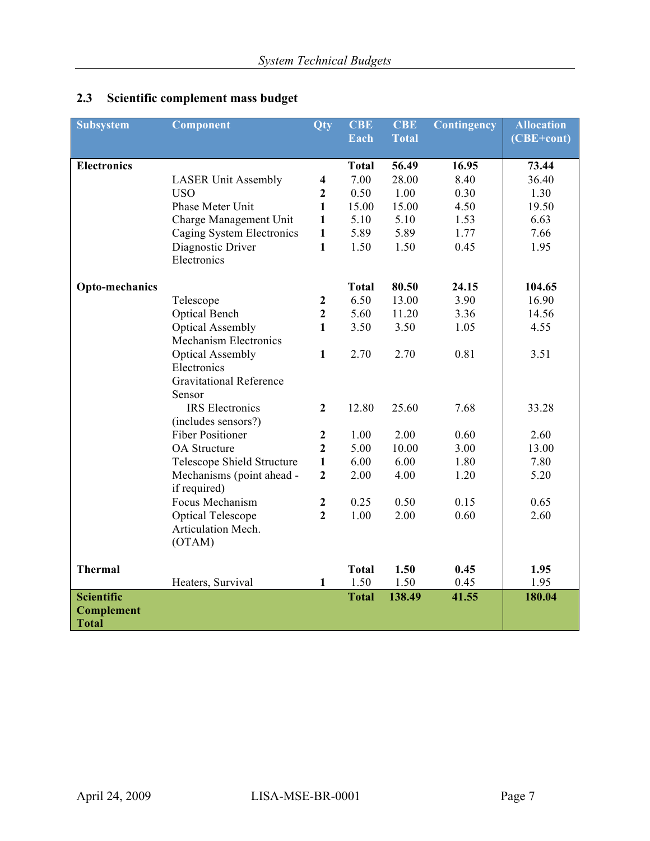| <b>Subsystem</b>   | Component                      | <b>Qty</b>              | <b>CBE</b>   | <b>CBE</b>   | Contingency | <b>Allocation</b> |
|--------------------|--------------------------------|-------------------------|--------------|--------------|-------------|-------------------|
|                    |                                |                         | Each         | <b>Total</b> |             | (CBE+cont)        |
|                    |                                |                         |              |              |             |                   |
| <b>Electronics</b> |                                |                         | <b>Total</b> | 56.49        | 16.95       | 73.44             |
|                    | <b>LASER Unit Assembly</b>     | $\overline{\mathbf{4}}$ | 7.00         | 28.00        | 8.40        | 36.40             |
|                    | <b>USO</b>                     | $\overline{2}$          | 0.50         | 1.00         | 0.30        | 1.30              |
|                    | Phase Meter Unit               | $\mathbf{1}$            | 15.00        | 15.00        | 4.50        | 19.50             |
|                    | Charge Management Unit         | $\mathbf{1}$            | 5.10         | 5.10         | 1.53        | 6.63              |
|                    | Caging System Electronics      | $\mathbf{1}$            | 5.89         | 5.89         | 1.77        | 7.66              |
|                    | Diagnostic Driver              | $\mathbf{1}$            | 1.50         | 1.50         | 0.45        | 1.95              |
|                    | Electronics                    |                         |              |              |             |                   |
| Opto-mechanics     |                                |                         | <b>Total</b> | 80.50        | 24.15       | 104.65            |
|                    | Telescope                      | $\boldsymbol{2}$        | 6.50         | 13.00        | 3.90        | 16.90             |
|                    | Optical Bench                  | $\overline{2}$          | 5.60         | 11.20        | 3.36        | 14.56             |
|                    | <b>Optical Assembly</b>        | $\mathbf{1}$            | 3.50         | 3.50         | 1.05        | 4.55              |
|                    | <b>Mechanism Electronics</b>   |                         |              |              |             |                   |
|                    | <b>Optical Assembly</b>        | $\mathbf{1}$            | 2.70         | 2.70         | 0.81        | 3.51              |
|                    | Electronics                    |                         |              |              |             |                   |
|                    | <b>Gravitational Reference</b> |                         |              |              |             |                   |
|                    | Sensor                         |                         |              |              |             |                   |
|                    | <b>IRS</b> Electronics         | $\overline{2}$          | 12.80        | 25.60        | 7.68        | 33.28             |
|                    | (includes sensors?)            |                         |              |              |             |                   |
|                    | <b>Fiber Positioner</b>        | $\boldsymbol{2}$        | 1.00         | 2.00         | 0.60        | 2.60              |
|                    | OA Structure                   | $\overline{2}$          | 5.00         | 10.00        | 3.00        | 13.00             |
|                    | Telescope Shield Structure     | $\mathbf{1}$            | 6.00         | 6.00         | 1.80        | 7.80              |
|                    | Mechanisms (point ahead -      | $\overline{2}$          | 2.00         | 4.00         | 1.20        | 5.20              |
|                    | if required)                   |                         |              |              |             |                   |
|                    | Focus Mechanism                | $\boldsymbol{2}$        | 0.25         | 0.50         | 0.15        | 0.65              |
|                    | <b>Optical Telescope</b>       | $\overline{2}$          | 1.00         | 2.00         | 0.60        | 2.60              |
|                    | Articulation Mech.             |                         |              |              |             |                   |
|                    | (OTAM)                         |                         |              |              |             |                   |
| <b>Thermal</b>     |                                |                         | <b>Total</b> | 1.50         | 0.45        | 1.95              |
|                    | Heaters, Survival              | $\mathbf{1}$            | 1.50         | 1.50         | 0.45        | 1.95              |
| <b>Scientific</b>  |                                |                         | <b>Total</b> | 138.49       | 41.55       | 180.04            |
| <b>Complement</b>  |                                |                         |              |              |             |                   |
| <b>Total</b>       |                                |                         |              |              |             |                   |

## **2.3 Scientific complement mass budget**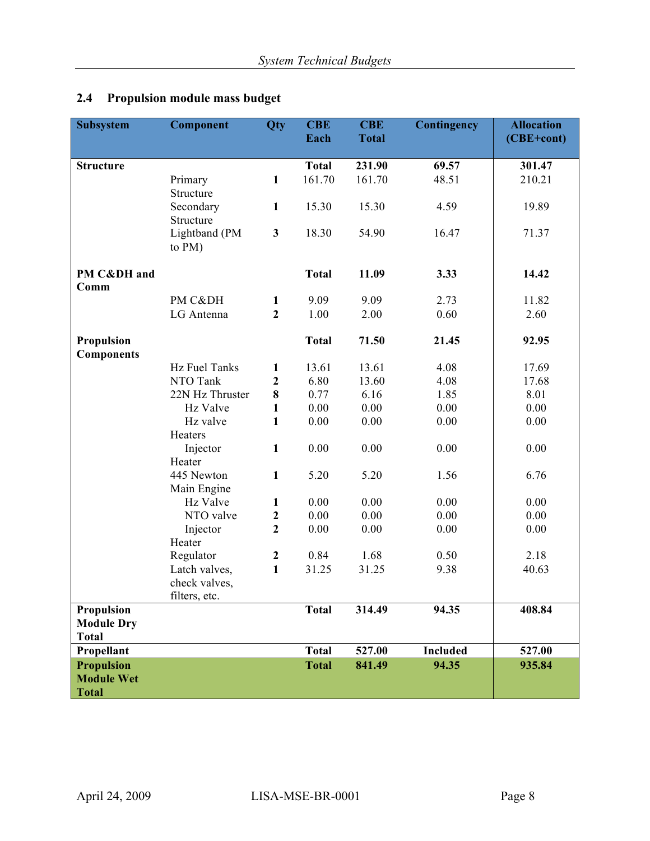## **2.4 Propulsion module mass budget**

| Subsystem                              | Component       | <b>Qty</b>       | <b>CBE</b>   | <b>CBE</b>   | Contingency     | <b>Allocation</b> |
|----------------------------------------|-----------------|------------------|--------------|--------------|-----------------|-------------------|
|                                        |                 |                  | Each         | <b>Total</b> |                 | (CBE+cont)        |
|                                        |                 |                  |              |              |                 |                   |
| <b>Structure</b>                       |                 |                  | <b>Total</b> | 231.90       | 69.57           | 301.47            |
|                                        | Primary         | $\mathbf{1}$     | 161.70       | 161.70       | 48.51           | 210.21            |
|                                        | Structure       |                  |              |              |                 |                   |
|                                        | Secondary       | $\mathbf{1}$     | 15.30        | 15.30        | 4.59            | 19.89             |
|                                        | Structure       |                  |              |              |                 |                   |
|                                        | Lightband (PM   | $\mathbf{3}$     | 18.30        | 54.90        | 16.47           | 71.37             |
|                                        | to PM)          |                  |              |              |                 |                   |
| PM C&DH and                            |                 |                  | <b>Total</b> | 11.09        | 3.33            | 14.42             |
| Comm                                   |                 |                  |              |              |                 |                   |
|                                        | PM C&DH         | $\mathbf{1}$     | 9.09         | 9.09         | 2.73            | 11.82             |
|                                        | LG Antenna      | $\overline{2}$   | 1.00         | 2.00         | 0.60            | 2.60              |
|                                        |                 |                  |              |              |                 |                   |
| Propulsion                             |                 |                  | <b>Total</b> | 71.50        | 21.45           | 92.95             |
| <b>Components</b>                      |                 |                  |              |              |                 |                   |
|                                        | Hz Fuel Tanks   | $\mathbf{1}$     | 13.61        | 13.61        | 4.08            | 17.69             |
|                                        | NTO Tank        | $\mathbf{2}$     | 6.80         | 13.60        | 4.08            | 17.68             |
|                                        | 22N Hz Thruster | 8                | 0.77         | 6.16         | 1.85            | 8.01              |
|                                        | Hz Valve        | $\mathbf{1}$     | $0.00\,$     | 0.00         | 0.00            | 0.00              |
|                                        | Hz valve        | $\mathbf{1}$     | 0.00         | 0.00         | 0.00            | 0.00              |
|                                        | Heaters         |                  |              |              |                 |                   |
|                                        | Injector        | $\mathbf{1}$     | 0.00         | 0.00         | 0.00            | 0.00              |
|                                        | Heater          |                  |              |              |                 |                   |
|                                        | 445 Newton      | $\mathbf{1}$     | 5.20         | 5.20         | 1.56            | 6.76              |
|                                        | Main Engine     |                  |              |              |                 |                   |
|                                        | Hz Valve        | $\mathbf{1}$     | 0.00         | 0.00         | 0.00            | 0.00              |
|                                        | NTO valve       | $\boldsymbol{2}$ | 0.00         | 0.00         | 0.00            | 0.00              |
|                                        | Injector        | $\overline{2}$   | $0.00\,$     | $0.00\,$     | 0.00            | 0.00              |
|                                        | Heater          |                  |              |              |                 |                   |
|                                        | Regulator       | $\boldsymbol{2}$ | 0.84         | 1.68         | 0.50            | 2.18              |
|                                        | Latch valves,   | $\mathbf{1}$     | 31.25        | 31.25        | 9.38            | 40.63             |
|                                        | check valves,   |                  |              |              |                 |                   |
|                                        | filters, etc.   |                  |              |              |                 |                   |
| <b>Propulsion</b>                      |                 |                  | <b>Total</b> | 314.49       | 94.35           | 408.84            |
| <b>Module Dry</b>                      |                 |                  |              |              |                 |                   |
| <b>Total</b>                           |                 |                  |              |              |                 |                   |
| Propellant                             |                 |                  | <b>Total</b> | 527.00       | <b>Included</b> | 527.00            |
| <b>Propulsion</b><br><b>Module Wet</b> |                 |                  | <b>Total</b> | 841.49       | 94.35           | 935.84            |
| <b>Total</b>                           |                 |                  |              |              |                 |                   |
|                                        |                 |                  |              |              |                 |                   |